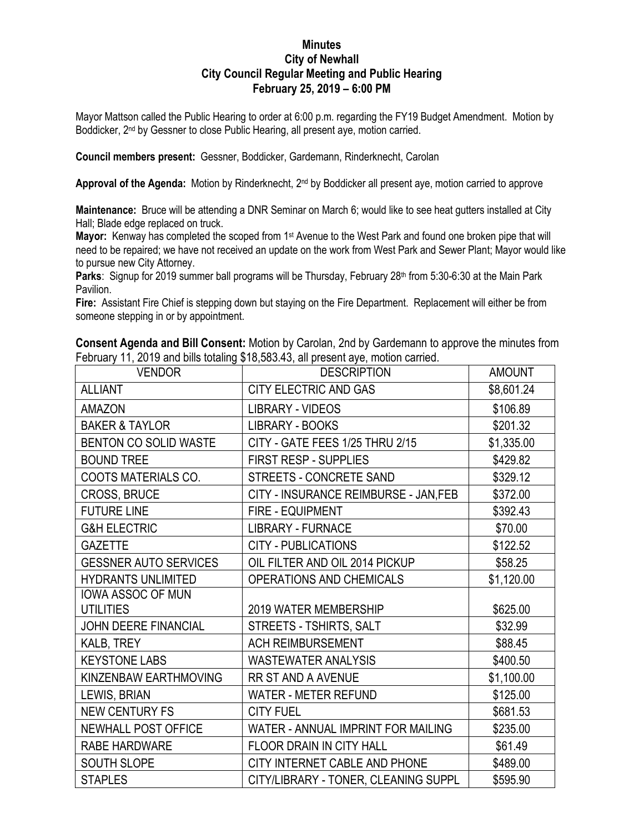## **Minutes City of Newhall City Council Regular Meeting and Public Hearing February 25, 2019 – 6:00 PM**

Mayor Mattson called the Public Hearing to order at 6:00 p.m. regarding the FY19 Budget Amendment. Motion by Boddicker, 2<sup>nd</sup> by Gessner to close Public Hearing, all present aye, motion carried.

**Council members present:** Gessner, Boddicker, Gardemann, Rinderknecht, Carolan

Approval of the Agenda: Motion by Rinderknecht, 2<sup>nd</sup> by Boddicker all present aye, motion carried to approve

**Maintenance:** Bruce will be attending a DNR Seminar on March 6; would like to see heat gutters installed at City Hall; Blade edge replaced on truck.

**Mayor:** Kenway has completed the scoped from 1st Avenue to the West Park and found one broken pipe that will need to be repaired; we have not received an update on the work from West Park and Sewer Plant; Mayor would like to pursue new City Attorney.

Parks: Signup for 2019 summer ball programs will be Thursday, February 28<sup>th</sup> from 5:30-6:30 at the Main Park Pavilion.

**Fire:** Assistant Fire Chief is stepping down but staying on the Fire Department. Replacement will either be from someone stepping in or by appointment.

**Consent Agenda and Bill Consent:** Motion by Carolan, 2nd by Gardemann to approve the minutes from February 11, 2019 and bills totaling \$18,583.43, all present aye, motion carried.

| <b>VENDOR</b>                | <b>DESCRIPTION</b>                    | <b>AMOUNT</b> |
|------------------------------|---------------------------------------|---------------|
| <b>ALLIANT</b>               | CITY ELECTRIC AND GAS                 | \$8,601.24    |
| <b>AMAZON</b>                | <b>LIBRARY - VIDEOS</b>               | \$106.89      |
| <b>BAKER &amp; TAYLOR</b>    | <b>LIBRARY - BOOKS</b>                | \$201.32      |
| BENTON CO SOLID WASTE        | CITY - GATE FEES 1/25 THRU 2/15       | \$1,335.00    |
| <b>BOUND TREE</b>            | <b>FIRST RESP - SUPPLIES</b>          | \$429.82      |
| COOTS MATERIALS CO.          | STREETS - CONCRETE SAND               | \$329.12      |
| CROSS, BRUCE                 | CITY - INSURANCE REIMBURSE - JAN, FEB | \$372.00      |
| <b>FUTURE LINE</b>           | <b>FIRE - EQUIPMENT</b>               | \$392.43      |
| <b>G&amp;H ELECTRIC</b>      | <b>LIBRARY - FURNACE</b>              | \$70.00       |
| <b>GAZETTE</b>               | <b>CITY - PUBLICATIONS</b>            | \$122.52      |
| <b>GESSNER AUTO SERVICES</b> | OIL FILTER AND OIL 2014 PICKUP        | \$58.25       |
| <b>HYDRANTS UNLIMITED</b>    | OPERATIONS AND CHEMICALS              | \$1,120.00    |
| <b>IOWA ASSOC OF MUN</b>     |                                       |               |
| <b>UTILITIES</b>             | <b>2019 WATER MEMBERSHIP</b>          | \$625.00      |
| JOHN DEERE FINANCIAL         | STREETS - TSHIRTS, SALT               | \$32.99       |
| KALB, TREY                   | <b>ACH REIMBURSEMENT</b>              | \$88.45       |
| <b>KEYSTONE LABS</b>         | <b>WASTEWATER ANALYSIS</b>            | \$400.50      |
| KINZENBAW EARTHMOVING        | <b>RR ST AND A AVENUE</b>             | \$1,100.00    |
| LEWIS, BRIAN                 | <b>WATER - METER REFUND</b>           | \$125.00      |
| <b>NEW CENTURY FS</b>        | <b>CITY FUEL</b>                      | \$681.53      |
| NEWHALL POST OFFICE          | WATER - ANNUAL IMPRINT FOR MAILING    | \$235.00      |
| RABE HARDWARE                | FLOOR DRAIN IN CITY HALL              | \$61.49       |
| <b>SOUTH SLOPE</b>           | CITY INTERNET CABLE AND PHONE         | \$489.00      |
| <b>STAPLES</b>               | CITY/LIBRARY - TONER, CLEANING SUPPL  | \$595.90      |